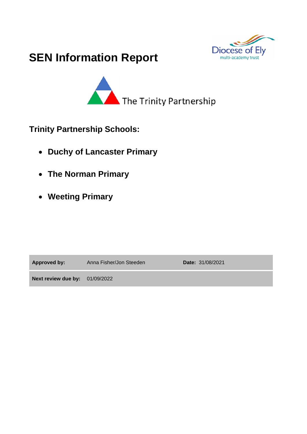

# **SEN Information Report**



**Trinity Partnership Schools:** 

- **Duchy of Lancaster Primary**
- **The Norman Primary**
- **Weeting Primary**

**Approved by:** Anna Fisher/Jon Steeden **Date:** 31/08/2021

**Next review due by:** 01/09/2022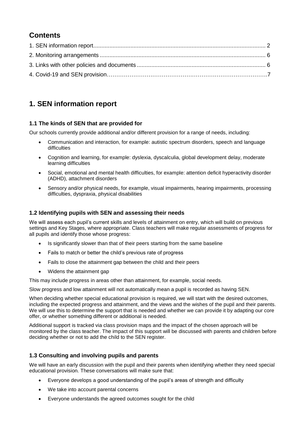# **Contents**

# **1. SEN information report**

#### **1.1 The kinds of SEN that are provided for**

Our schools currently provide additional and/or different provision for a range of needs, including:

- Communication and interaction, for example: autistic spectrum disorders, speech and language difficulties
- Cognition and learning, for example: dyslexia, dyscalculia, global development delay, moderate learning difficulties
- Social, emotional and mental health difficulties, for example: attention deficit hyperactivity disorder (ADHD), attachment disorders
- Sensory and/or physical needs, for example, visual impairments, hearing impairments, processing difficulties, dyspraxia, physical disabilities

#### **1.2 Identifying pupils with SEN and assessing their needs**

We will assess each pupil's current skills and levels of attainment on entry, which will build on previous settings and Key Stages, where appropriate. Class teachers will make regular assessments of progress for all pupils and identify those whose progress:

- Is significantly slower than that of their peers starting from the same baseline
- Fails to match or better the child's previous rate of progress
- Fails to close the attainment gap between the child and their peers
- Widens the attainment gap

This may include progress in areas other than attainment, for example, social needs.

Slow progress and low attainment will not automatically mean a pupil is recorded as having SEN.

When deciding whether special educational provision is required, we will start with the desired outcomes, including the expected progress and attainment, and the views and the wishes of the pupil and their parents. We will use this to determine the support that is needed and whether we can provide it by adapting our core offer, or whether something different or additional is needed.

Additional support is tracked via class provision maps and the impact of the chosen approach will be monitored by the class teacher. The impact of this support will be discussed with parents and children before deciding whether or not to add the child to the SEN register.

#### **1.3 Consulting and involving pupils and parents**

We will have an early discussion with the pupil and their parents when identifying whether they need special educational provision. These conversations will make sure that:

- Everyone develops a good understanding of the pupil's areas of strength and difficulty
- We take into account parental concerns
- Everyone understands the agreed outcomes sought for the child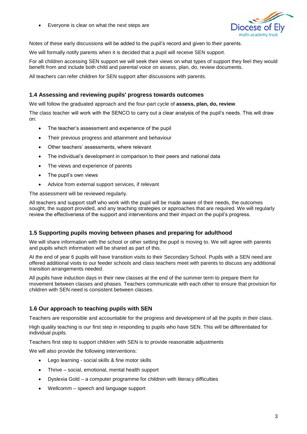• Everyone is clear on what the next steps are



Notes of these early discussions will be added to the pupil's record and given to their parents.

We will formally notify parents when it is decided that a pupil will receive SEN support.

For all children accessing SEN support we will seek their views on what types of support they feel they would benefit from and include both child and parental voice on assess, plan, do, review documents.

All teachers can refer children for SEN support after discussions with parents.

#### **1.4 Assessing and reviewing pupils' progress towards outcomes**

We will follow the graduated approach and the four-part cycle of **assess, plan, do, review**.

The class teacher will work with the SENCO to carry out a clear analysis of the pupil's needs. This will draw on:

- The teacher's assessment and experience of the pupil
- Their previous progress and attainment and behaviour
- Other teachers' assessments, where relevant
- The individual's development in comparison to their peers and national data
- The views and experience of parents
- The pupil's own views
- Advice from external support services, if relevant

The assessment will be reviewed regularly.

All teachers and support staff who work with the pupil will be made aware of their needs, the outcomes sought, the support provided, and any teaching strategies or approaches that are required. We will regularly review the effectiveness of the support and interventions and their impact on the pupil's progress.

#### **1.5 Supporting pupils moving between phases and preparing for adulthood**

We will share information with the school or other setting the pupil is moving to. We will agree with parents and pupils which information will be shared as part of this.

At the end of year 6 pupils will have transition visits to their Secondary School. Pupils with a SEN need are offered additional visits to our feeder schools and class teachers meet with parents to discuss any additional transition arrangements needed.

All pupils have induction days in their new classes at the end of the summer term to prepare them for movement between classes and phases. Teachers communicate with each other to ensure that provision for children with SEN need is consistent between classes.

#### **1.6 Our approach to teaching pupils with SEN**

Teachers are responsible and accountable for the progress and development of all the pupils in their class.

High quality teaching is our first step in responding to pupils who have SEN. This will be differentiated for individual pupils.

Teachers first step to support children with SEN is to provide reasonable adjustments

We will also provide the following interventions:

- Lego learning social skills & fine motor skills
- Thrive social, emotional, mental health support
- Dyslexia Gold a computer programme for children with literacy difficulties
- Wellcomm speech and language support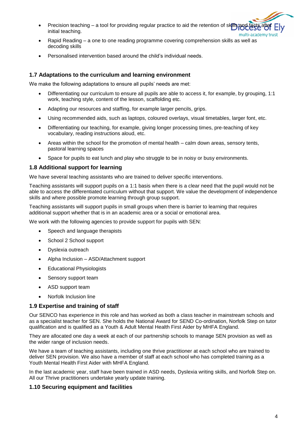- Precision teaching a tool for providing regular practice to aid the retention of skills initial teaching. multi-academy trust
- Rapid Reading a one to one reading programme covering comprehension skills as well as decoding skills
- Personalised intervention based around the child's individual needs.

#### **1.7 Adaptations to the curriculum and learning environment**

We make the following adaptations to ensure all pupils' needs are met:

- Differentiating our curriculum to ensure all pupils are able to access it, for example, by grouping, 1:1 work, teaching style, content of the lesson, scaffolding etc.
- Adapting our resources and staffing, for example larger pencils, grips.
- Using recommended aids, such as laptops, coloured overlays, visual timetables, larger font, etc.
- Differentiating our teaching, for example, giving longer processing times, pre-teaching of key vocabulary, reading instructions aloud, etc.
- Areas within the school for the promotion of mental health calm down areas, sensory tents, pastoral learning spaces
- Space for pupils to eat lunch and play who struggle to be in noisy or busy environments.

#### **1.8 Additional support for learning**

We have several teaching assistants who are trained to deliver specific interventions.

Teaching assistants will support pupils on a 1:1 basis when there is a clear need that the pupil would not be able to access the differentiated curriculum without that support. We value the development of independence skills and where possible promote learning through group support.

Teaching assistants will support pupils in small groups when there is barrier to learning that requires additional support whether that is in an academic area or a social or emotional area.

We work with the following agencies to provide support for pupils with SEN:

- Speech and language therapists
- School 2 School support
- Dyslexia outreach
- Alpha Inclusion ASD/Attachment support
- Educational Physiologists
- Sensory support team
- ASD support team
- Norfolk Inclusion line

#### **1.9 Expertise and training of staff**

Our SENCO has experience in this role and has worked as both a class teacher in mainstream schools and as a specialist teacher for SEN. She holds the National Award for SEND Co-ordination, Norfolk Step on tutor qualification and is qualified as a Youth & Adult Mental Health First Aider by MHFA England.

They are allocated one day a week at each of our partnership schools to manage SEN provision as well as the wider range of inclusion needs.

We have a team of teaching assistants, including one thrive practitioner at each school who are trained to deliver SEN provision. We also have a member of staff at each school who has completed training as a Youth Mental Health First Aider with MHFA England.

In the last academic year, staff have been trained in ASD needs, Dyslexia writing skills, and Norfolk Step on. All our Thrive practitioners undertake yearly update training.

#### **1.10 Securing equipment and facilities**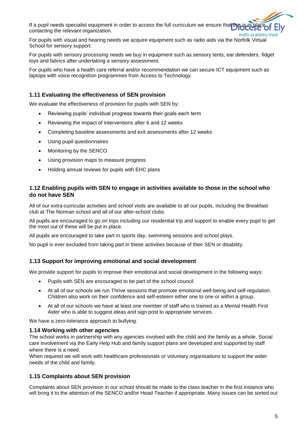If a pupil needs specialist equipment in order to access the full curriculum we ensure that the contacting the relevant organization. multi-academy trus

For pupils with visual and hearing needs we acquire equipment such as radio aids via the Norfolk Virtual School for sensory support.

For pupils with sensory processing needs we buy in equipment such as sensory tents, ear defenders, fidget toys and fabrics after undertaking a sensory assessment.

For pupils who have a health care referral and/or recommendation we can secure ICT equipment such as laptops with voice recognition programmes from Access to Technology.

#### **1.11 Evaluating the effectiveness of SEN provision**

We evaluate the effectiveness of provision for pupils with SEN by:

- Reviewing pupils' individual progress towards their goals each term
- Reviewing the impact of interventions after 6 and 12 weeks
- Completing baseline assessments and exit assessments after 12 weeks
- Using pupil questionnaires
- Monitoring by the SENCO
- Using provision maps to measure progress
- Holding annual reviews for pupils with EHC plans

#### **1.12 Enabling pupils with SEN to engage in activities available to those in the school who do not have SEN**

All of our extra-curricular activities and school visits are available to all our pupils, including the Breakfast club at The Norman school and all of our after-school clubs.

All pupils are encouraged to go on trips including our residential trip and support to enable every pupil to get the most out of these will be put in place.

All pupils are encouraged to take part in sports day, swimming sessions and school plays.

No pupil is ever excluded from taking part in these activities because of their SEN or disability.

#### **1.13 Support for improving emotional and social development**

We provide support for pupils to improve their emotional and social development in the following ways:

- Pupils with SEN are encouraged to be part of the school council
- At all of our schools we run Thrive sessions that promote emotional well-being and self-regulation. Children also work on their confidence and self-esteem either one to one or within a group.
- At all of our schools we have at least one member of staff who is trained as a Mental Health First Aider who is able to suggest ideas and sign post to appropriate services.

We have a zero-tolerance approach to bullying.

#### **1.14 Working with other agencies**

The school works in partnership with any agencies involved with the child and the family as a whole. Social care involvement via the Early Help Hub and family support plans are developed and supported by staff where there is a need.

When required we will work with healthcare professionals or voluntary organisations to support the wider needs of the child and family.

#### **1.15 Complaints about SEN provision**

Complaints about SEN provision in our school should be made to the class teacher in the first instance who will bring it to the attention of the SENCO and/or Head Teacher if appropriate. Many issues can be sorted out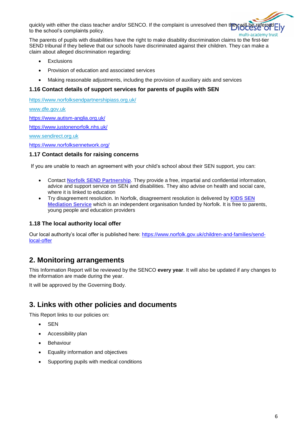quickly with either the class teacher and/or SENCO. If the complaint is unresolved then the to the school's complaints policy. multi-academy trust

The parents of pupils with disabilities have the right to make disability discrimination claims to the first-tier SEND tribunal if they believe that our schools have discriminated against their children. They can make a claim about alleged discrimination regarding:

- Exclusions
- Provision of education and associated services
- Making reasonable adjustments, including the provision of auxiliary aids and services

#### **1.16 Contact details of support services for parents of pupils with SEN**

<https://www.norfolksendpartnershipiass.org.uk/>

[www.dfe.gov.uk](http://www.dfe.gov.uk/)

<https://www.autism-anglia.org.uk/>

<https://www.justonenorfolk.nhs.uk/>

[www.sendirect.org.uk](http://www.sendirect.org.uk/)

<https://www.norfolksennetwork.org/>

#### **1.17 Contact details for raising concerns**

If you are unable to reach an agreement with your child's school about their SEN support, you can:

- Contact **[Norfolk SEND Partnership](http://www.norfolksendpartnershipiass.org.uk/index.html)**. They provide a free, impartial and confidential information, advice and support service on SEN and disabilities. They also advise on health and social care, where it is linked to education
- Try disagreement resolution. In Norfolk, disagreement resolution is delivered by **[KIDS SEN](https://www.kids.org.uk/mediation-info)  [Mediation Service](https://www.kids.org.uk/mediation-info)** which is an independent organisation funded by Norfolk. It is free to parents, young people and education providers

#### **1.18 The local authority local offer**

Our local authority's local offer is published here: [https://www.norfolk.gov.uk/children-and-families/send](https://www.norfolk.gov.uk/children-and-families/send-local-offer)[local-offer](https://www.norfolk.gov.uk/children-and-families/send-local-offer)

### **2. Monitoring arrangements**

This Information Report will be reviewed by the SENCO **every year**. It will also be updated if any changes to the information are made during the year.

It will be approved by the Governing Body.

## **3. Links with other policies and documents**

This Report links to our policies on:

- **SEN**
- Accessibility plan
- Behaviour
- Equality information and objectives
- Supporting pupils with medical conditions